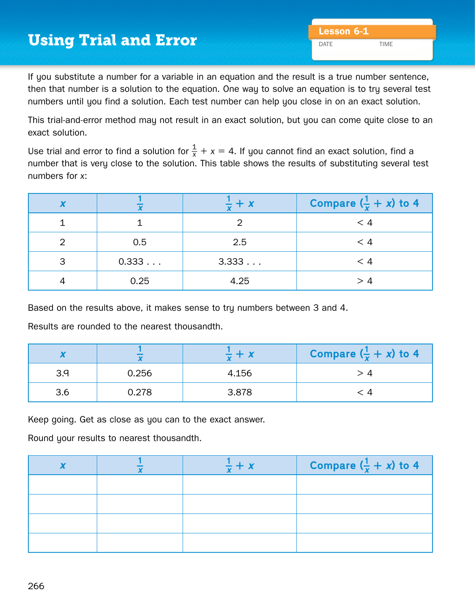## **Using Trial and Error Lesson 6-1** Lesson 6-1

If you substitute a number for a variable in an equation and the result is a true number sentence, then that number is a solution to the equation. One way to solve an equation is to try several test numbers until you find a solution. Each test number can help you close in on an exact solution.

This trial-and-error method may not result in an exact solution, but you can come quite close to an exact solution.

Use trial and error to find a solution for  $\frac{1}{x}+x=4$ . If you cannot find an exact solution, find a number that is very close to the solution. This table shows the results of substituting several test numbers for *x*:

| $\mathbf v$ |       | + x   | Compare $(\frac{1}{x} + x)$ to 4 |
|-------------|-------|-------|----------------------------------|
|             |       |       | < 4                              |
|             | 0.5   | 2.5   | $\leq 4$                         |
| 3           | 0.333 | 3.333 | < 4                              |
|             | 0.25  | 4.25  | > 4                              |

Based on the results above, it makes sense to try numbers between 3 and 4.

Results are rounded to the nearest thousandth.

|     |       | $\frac{1}{2} + x$ | Compare $(\frac{1}{x} + x)$ to 4 |
|-----|-------|-------------------|----------------------------------|
| 3.9 | 0.256 | 4.156             |                                  |
| 3.6 | 0.278 | 3.878             |                                  |

Keep going. Get as close as you can to the exact answer.

Round your results to nearest thousandth.

|  | Compare $(\frac{1}{x} + x)$ to 4 |
|--|----------------------------------|
|  |                                  |
|  |                                  |
|  |                                  |
|  |                                  |